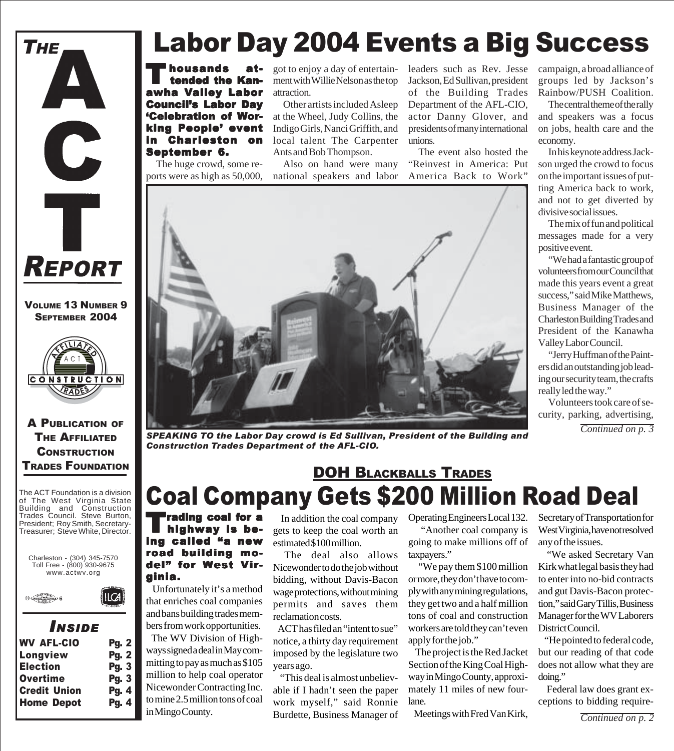

VOLUME 13 NUMBER 9 SEPTEMBER 2004



A PUBLICATION OF **THE AFFILIATED CONSTRUCTION** TRADES FOUNDATION

The ACT Foundation is a division of The West Virginia State Building and Construction Trades Council. Steve Burton, President; Roy Smith, Secretary-Treasurer; Steve White, Director.



ILCA



### *I NSIDE*

| <b>WV AFL-CIO</b>   | <b>Pg. 2</b> |
|---------------------|--------------|
| Longview            | <b>Pg. 2</b> |
| <b>Election</b>     | Pg.3         |
| <b>Overtime</b>     | Pg. 3        |
| <b>Credit Union</b> | Pg. 4        |
| <b>Home Depot</b>   | Pg. 4        |
|                     |              |

# Labor Day 2004 Events a Big Success

Thousands at-<br>tended the Kanawha Valley Labor Council's Labor Day 'Celebration of Working People' event in Charleston on September 6.

The huge crowd, some reports were as high as 50,000, got to enjoy a day of entertainment with Willie Nelson as the top attraction.

Other artists included Asleep at the Wheel, Judy Collins, the Indigo Girls, Nanci Griffith, and local talent The Carpenter Ants and Bob Thompson.

Also on hand were many national speakers and labor leaders such as Rev. Jesse Jackson, Ed Sullivan, president of the Building Trades Department of the AFL-CIO, actor Danny Glover, and presidents of many international unions.

The event also hosted the "Reinvest in America: Put America Back to Work"



*SPEAKING TO the Labor Day crowd is Ed Sullivan, President of the Building and Construction Trades Department of the AFL-CIO.*

## Coal Company Gets \$200 Million Road Deal DOH BLACKBALLS TRADES

**Trading coal for a** highway is being called "a new road building model" for West Virginia.

 Unfortunately it's a method that enriches coal companies and bans building trades members from work opportunities. The WV Division of Highways signed a deal in May committing to pay as much as \$105 million to help coal operator Nicewonder Contracting Inc. to mine 2.5 million tons of coal in Mingo County.

 In addition the coal company gets to keep the coal worth an estimated \$100 million.

The deal also allows Nicewonder to do the job without bidding, without Davis-Bacon wage protections, without mining permits and saves them reclamation costs.

 ACT has filed an "intent to sue" notice, a thirty day requirement imposed by the legislature two years ago.

 "This deal is almost unbelievable if I hadn't seen the paper work myself," said Ronnie Burdette, Business Manager of

Operating Engineers Local 132. "Another coal company is

going to make millions off of taxpayers."

 "We pay them \$100 million or more, they don't have to comply with any mining regulations, they get two and a half million tons of coal and construction workers are told they can't even apply for the job."

 The project is the Red Jacket Section of the King Coal Highway in Mingo County, approximately 11 miles of new fourlane.

Meetings with Fred Van Kirk,

campaign, a broad alliance of groups led by Jackson's Rainbow/PUSH Coalition.

The central theme of the rally and speakers was a focus on jobs, health care and the economy.

In his keynote address Jackson urged the crowd to focus on the important issues of putting America back to work, and not to get diverted by divisive social issues.

The mix of fun and political messages made for a very positive event.

"We had a fantastic group of volunteers from our Council that made this years event a great success," said Mike Matthews, Business Manager of the Charleston Building Trades and President of the Kanawha Valley Labor Council.

"Jerry Huffman of the Painters did an outstanding job leading our security team, the crafts really led the way."

Volunteers took care of security, parking, advertising,

*Continued on p. 3*

Secretary of Transportation for West Virginia, have not resolved any of the issues.

 "We asked Secretary Van Kirk what legal basis they had to enter into no-bid contracts and gut Davis-Bacon protection," said Gary Tillis, Business Manager for the WV Laborers District Council.

 "He pointed to federal code, but our reading of that code does not allow what they are doing."

 Federal law does grant exceptions to bidding require-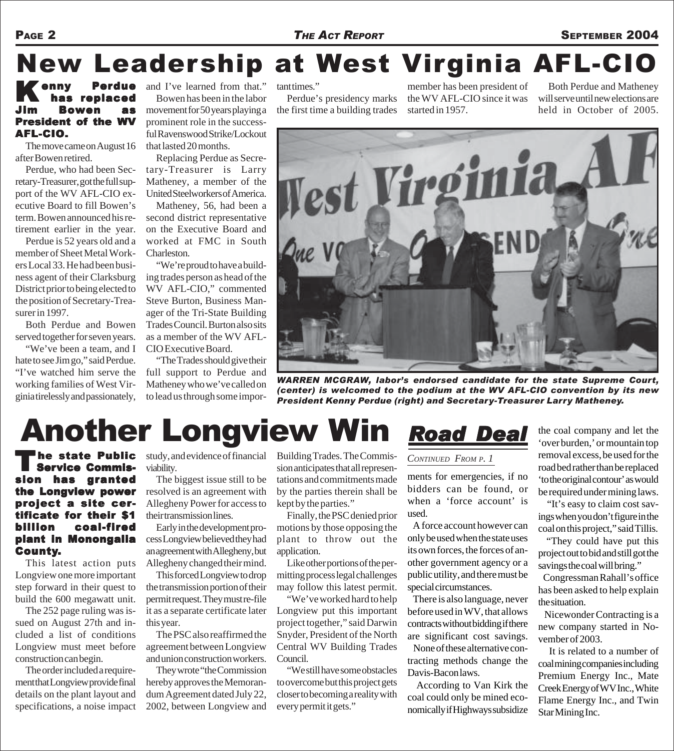### PAGE 2 **THE ACT REPORT** SEPTEMBER 2004

# New Leadership at West Virginia AFL-CIO

### Kenny Perdue<br>
has replaced Bowen as President of the WV AFL-CIO.

The move came on August 16 after Bowen retired.

Perdue, who had been Secretary-Treasurer, got the full support of the WV AFL-CIO executive Board to fill Bowen's term. Bowen announced his retirement earlier in the year.

Perdue is 52 years old and a member of Sheet Metal Workers Local 33. He had been business agent of their Clarksburg District prior to being elected to the position of Secretary-Treasurer in 1997.

Both Perdue and Bowen served together for seven years.

"We've been a team, and I hate to see Jim go," said Perdue. "I've watched him serve the working families of West Virginia tirelessly and passionately, and I've learned from that." Bowen has been in the labor movement for 50 years playing a prominent role in the successful Ravenswood Strike/Lockout that lasted 20 months.

Replacing Perdue as Secretary-Treasurer is Larry Matheney, a member of the United Steelworkers of America.

Matheney, 56, had been a second district representative on the Executive Board and worked at FMC in South Charleston.

"We're proud to have a building trades person as head of the WV AFL-CIO," commented Steve Burton, Business Manager of the Tri-State Building Trades Council. Burton also sits as a member of the WV AFL-CIO Executive Board.

"The Trades should give their full support to Perdue and Matheney who we've called on to lead us through some impor-

tant times."

Perdue's presidency marks the first time a building trades member has been president of the WV AFL-CIO since it was started in 1957.

Both Perdue and Matheney will serve until new elections are held in October of 2005.



*WARREN MCGRAW, labor's endorsed candidate for the state Supreme Court, (center) is welcomed to the podium at the WV AFL-CIO convention by its new President Kenny Perdue (right) and Secretary-Treasurer Larry Matheney.*

# Another Longview Win

The state Public<br>
Service Commission has granted the Longview power project a site certificate for their \$1 billion coal-fired plant in Monongalia County.

This latest action puts Longview one more important step forward in their quest to build the 600 megawatt unit.

The 252 page ruling was issued on August 27th and included a list of conditions Longview must meet before construction can begin.

The order included a requirement that Longview provide final details on the plant layout and specifications, a noise impact

he state Public study, and evidence of financial viability.

> The biggest issue still to be resolved is an agreement with Allegheny Power for access to their transmission lines.

> Early in the development process Longview believed they had an agreement with Allegheny, but Allegheny changed their mind.

This forced Longview to drop the transmission portion of their permit request. They must re-file it as a separate certificate later this year.

The PSC also reaffirmed the agreement between Longview and union construction workers.

They wrote "the Commission hereby approves the Memorandum Agreement dated July 22, 2002, between Longview and

Building Trades. The Commission anticipates that all representations and commitments made by the parties therein shall be kept by the parties."

Finally, the PSC denied prior motions by those opposing the plant to throw out the application.

Like other portions of the permitting process legal challenges may follow this latest permit.

"We've worked hard to help Longview put this important project together," said Darwin Snyder, President of the North Central WV Building Trades Council.

"We still have some obstacles to overcome but this project gets closer to becoming a reality with every permit it gets."

## *Road Deal oad Deal oad Deal*

#### *CONTINUED FROM P. 1*

ments for emergencies, if no bidders can be found, or when a 'force account' is used.

 A force account however can only be used when the state uses its own forces, the forces of another government agency or a public utility, and there must be special circumstances.

 There is also language, never before used in WV, that allows contracts without bidding if there are significant cost savings. None of these alternative contracting methods change the Davis-Bacon laws.

 According to Van Kirk the coal could only be mined economically if Highways subsidize

the coal company and let the 'over burden,' or mountain top removal excess, be used for the road bed rather than be replaced 'to the original contour' as would be required under mining laws.

 "It's easy to claim cost savings when you don't figure in the coal on this project," said Tillis.

 "They could have put this project out to bid and still got the savings the coal will bring."

 Congressman Rahall's office has been asked to help explain the situation.

 Nicewonder Contracting is a new company started in November of 2003.

 It is related to a number of coal mining companies including Premium Energy Inc., Mate Creek Energy of WV Inc., White Flame Energy Inc., and Twin Star Mining Inc.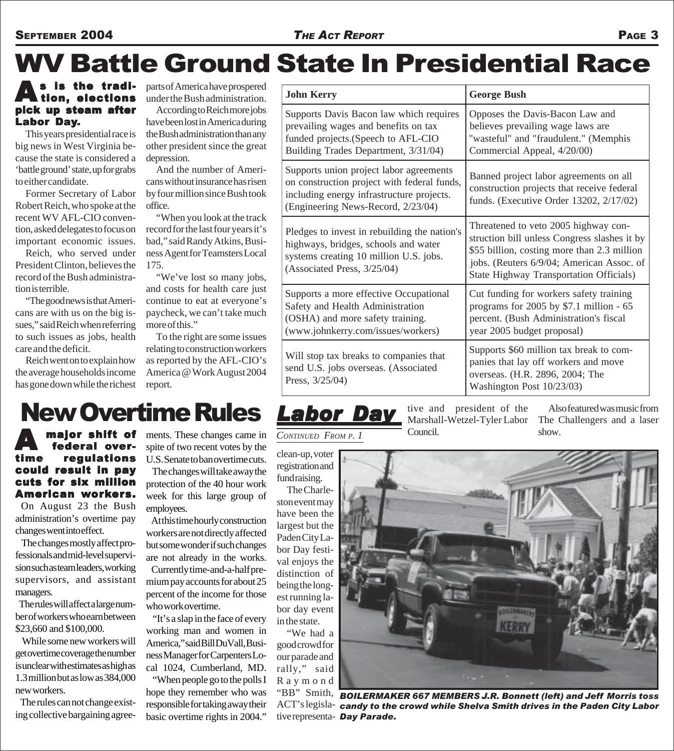# WV Battle Ground State In Presidential Race

### As is the tradi-<br>tion, elections pick up steam after Labor Day.

This years presidential race is big news in West Virginia because the state is considered a 'battle ground' state, up for grabs to either candidate.

Former Secretary of Labor Robert Reich, who spoke at the recent WV AFL-CIO convention, asked delegates to focus on important economic issues.

Reich, who served under President Clinton, believes the record of the Bush administration is terrible.

"The good news is that Americans are with us on the big issues," said Reich when referring to such issues as jobs, health care and the deficit.

Reich went on to explain how the average households income has gone down while the richest parts of America have prospered under the Bush administration.

According to Reich more jobs have been lost in America during the Bush administration than any other president since the great depression.

And the number of Americans without insurance has risen by four million since Bush took office.

"When you look at the track record for the last four years it's bad," said Randy Atkins, Business Agent for Teamsters Local 175.

"We've lost so many jobs, and costs for health care just continue to eat at everyone's paycheck, we can't take much more of this."

To the right are some issues relating to construction workers as reported by the AFL-CIO's America @ Work August 2004 report.

| <b>John Kerry</b>                                                                                                                                                         | <b>George Bush</b>                                                                                                                                                                                                                 |
|---------------------------------------------------------------------------------------------------------------------------------------------------------------------------|------------------------------------------------------------------------------------------------------------------------------------------------------------------------------------------------------------------------------------|
| Supports Davis Bacon law which requires<br>prevailing wages and benefits on tax<br>funded projects. (Speech to AFL-CIO<br>Building Trades Department, 3/31/04)            | Opposes the Davis-Bacon Law and<br>believes prevailing wage laws are<br>"wasteful" and "fraudulent." (Memphis<br>Commercial Appeal, 4/20/00)                                                                                       |
| Supports union project labor agreements<br>on construction project with federal funds,<br>including energy infrastructure projects.<br>(Engineering News-Record, 2/23/04) | Banned project labor agreements on all<br>construction projects that receive federal<br>funds. (Executive Order 13202, 2/17/02)                                                                                                    |
| Pledges to invest in rebuilding the nation's<br>highways, bridges, schools and water<br>systems creating 10 million U.S. jobs.<br>(Associated Press, 3/25/04)             | Threatened to veto 2005 highway con-<br>struction bill unless Congress slashes it by<br>\$55 billion, costing more than 2.3 million<br>jobs. (Reuters 6/9/04; American Assoc. of<br><b>State Highway Transportation Officials)</b> |
| Supports a more effective Occupational<br>Safety and Health Administration<br>(OSHA) and more safety training.<br>(www.johnkerry.com/issues/workers)                      | Cut funding for workers safety training<br>programs for 2005 by \$7.1 million - 65<br>percent. (Bush Administration's fiscal<br>year 2005 budget proposal)                                                                         |
| Will stop tax breaks to companies that<br>send U.S. jobs overseas. (Associated<br>Press, $3/25/04$ )                                                                      | Supports \$60 million tax break to com-<br>panies that lay off workers and move<br>overseas. (H.R. 2896, 2004; The<br>Washington Post 10/23/03)                                                                                    |

## New Overtime Rules

#### **A major shift of<br>federal over-<br>time requiations** overregulations could result in pay cuts for six million American workers.

 On August 23 the Bush administration's overtime pay changes went into effect.

 The changes mostly affect professionals and mid-level supervision such as team leaders, working supervisors, and assistant managers.

 The rules will affect a large number of workers who earn between \$23,660 and \$100,000.

 While some new workers will get overtime coverage the number is unclear with estimates as high as 1.3 million but as low as 384,000 new workers.

 The rules can not change existing collective bargaining agreements. These changes came in spite of two recent votes by the U.S. Senate to ban overtime cuts.

 The changes will take away the protection of the 40 hour work week for this large group of employees.

 At this time hourly construction workers are not directly affected but some wonder if such changes are not already in the works. Currently time-and-a-half premium pay accounts for about 25 percent of the income for those who work overtime.

 "It's a slap in the face of every working man and women in America," said Bill DuVall, Business Manager for Carpenters Local 1024, Cumberland, MD.

 "When people go to the polls I hope they remember who was responsible for taking away their basic overtime rights in 2004."

#### *CONTINUED FROM P. 1*

*Labor Day*

clean-up, voter registration and fund raising.

The Charleston event may have been the largest but the Paden City Labor Day festival enjoys the distinction of being the longest running labor day event in the state.

"We had a good crowd for our parade and rally," said Raymond tive and president of the Marshall-Wetzel-Tyler Labor Council.

Also featured was music from The Challengers and a laser show.



"BB" Smith, *BOILERMAKER 667 MEMBERS J.R. Bonnett (left) and Jeff Morris toss* ACT's legisla-*candy to the crowd while Shelva Smith drives in the Paden City Labor* tive representa-*Day Parade.*